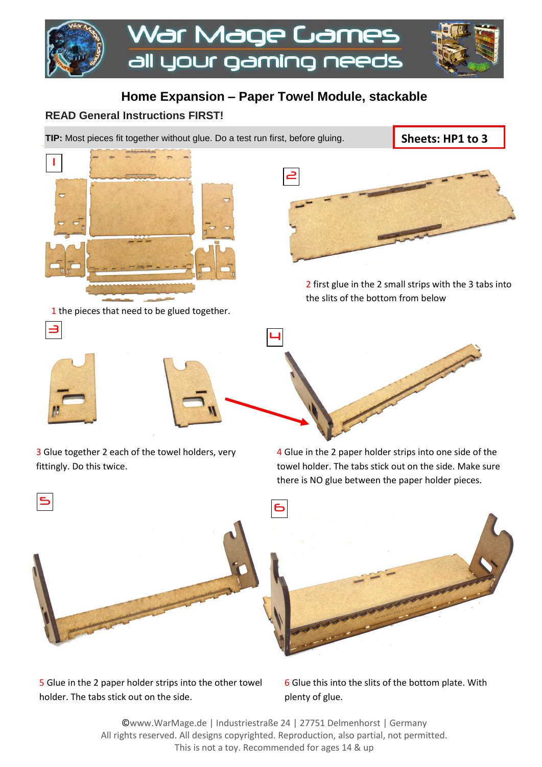

## **Home Expansion – Paper Towel Module, stackable**

## **READ General Instructions FIRST!**

**TIP:** Most pieces fit together without glue. Do a test run first, before gluing.

**Sheets: HP1 to 3**



1 the pieces that need to be glued together.



2 first glue in the 2 small strips with the 3 tabs into the slits of the bottom from below



3



3 Glue together 2 each of the towel holders, very fittingly. Do this twice.

4 Glue in the 2 paper holder strips into one side of the towel holder. The tabs stick out on the side. Make sure there is NO glue between the paper holder pieces.



5 Glue in the 2 paper holder strips into the other towel holder. The tabs stick out on the side.

6 Glue this into the slits of the bottom plate. With plenty of glue.

©www.WarMage.de | Industriestraße 24 | 27751 Delmenhorst | Germany All rights reserved. All designs copyrighted. Reproduction, also partial, not permitted. This is not a toy. Recommended for ages 14 & up